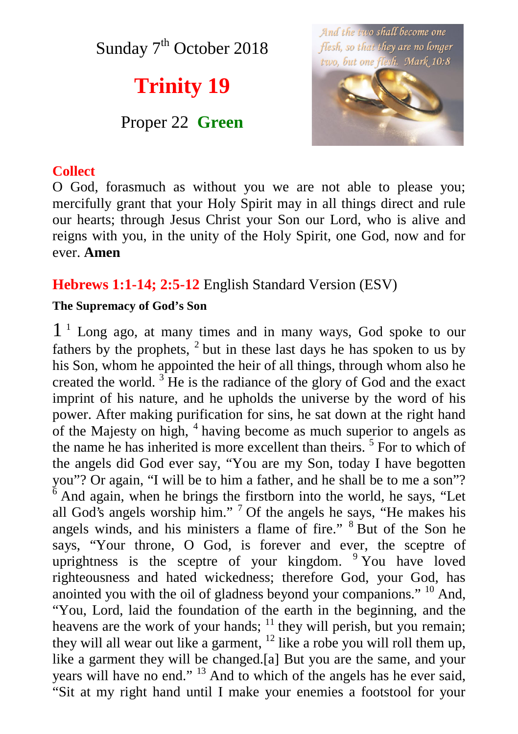Sunday  $7<sup>th</sup>$  October 2018

# **Trinity 19**

## Proper 22 **Green**



#### **Collect**

O God, forasmuch as without you we are not able to please you; mercifully grant that your Holy Spirit may in all things direct and rule our hearts; through Jesus Christ your Son our Lord, who is alive and reigns with you, in the unity of the Holy Spirit, one God, now and for ever. **Amen**

### **Hebrews 1:1-14; 2:5-12** English Standard Version (ESV)

#### **The Supremacy of God's Son**

1 <sup>1</sup> Long ago, at many times and in many ways, God spoke to our fathers by the prophets,  $2$  but in these last days he has spoken to us by his Son, whom he appointed the heir of all things, through whom also he created the world.  $3$  He is the radiance of the glory of God and the exact imprint of his nature, and he upholds the universe by the word of his power. After making purification for sins, he sat down at the right hand of the Majesty on high, <sup>4</sup> having become as much superior to angels as the name he has inherited is more excellent than theirs.<sup>5</sup> For to which of the angels did God ever say, "You are my Son, today I have begotten you"? Or again, "I will be to him a father, and he shall be to me a son"?  $\frac{6}{6}$  And again, when he brings the firstborn into the world, he says, "Let all God's angels worship him." <sup>7</sup> Of the angels he says, "He makes his angels winds, and his ministers a flame of fire." <sup>8</sup> But of the Son he says, "Your throne, O God, is forever and ever, the sceptre of uprightness is the sceptre of your kingdom. <sup>9</sup> You have loved righteousness and hated wickedness; therefore God, your God, has anointed you with the oil of gladness beyond your companions." <sup>10</sup> And, "You, Lord, laid the foundation of the earth in the beginning, and the heavens are the work of your hands; <sup>11</sup> they will perish, but you remain; they will all wear out like a garment, <sup>12</sup> like a robe you will roll them up, like a garment they will be changed.[a] But you are the same, and your years will have no end." <sup>13</sup> And to which of the angels has he ever said, "Sit at my right hand until I make your enemies a footstool for your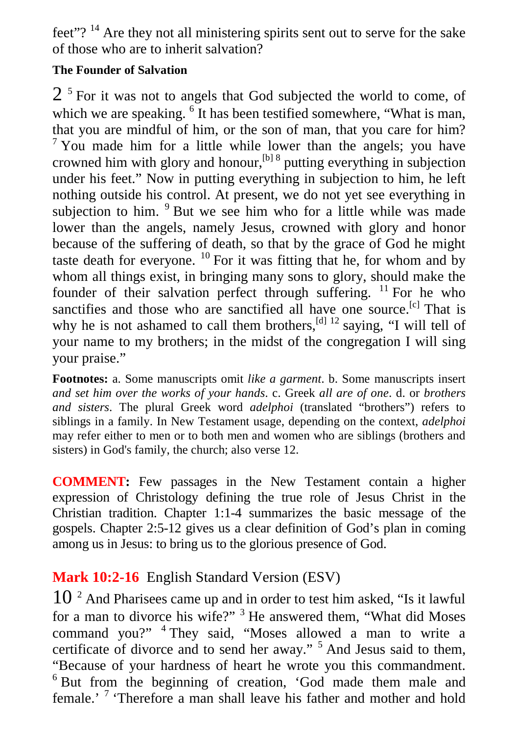feet"?<sup>14</sup> Are they not all ministering spirits sent out to serve for the sake of those who are to inherit salvation?

#### **The Founder of Salvation**

 $2<sup>5</sup>$  For it was not to angels that God subjected the world to come, of which we are speaking. <sup>6</sup> It has been testified somewhere, "What is man, that you are mindful of him, or the son of man, that you care for him?  $7$  You made him for a little while lower than the angels; you have crowned him with glory and honour, <sup>[b] 8</sup> putting everything in subjection under his feet." Now in putting everything in subjection to him, he left nothing outside his control. At present, we do not yet see everything in subjection to him. <sup>9</sup> But we see him who for a little while was made lower than the angels, namely Jesus, crowned with glory and honor because of the suffering of death, so that by the grace of God he might taste death for everyone.  $^{10}$  For it was fitting that he, for whom and by whom all things exist, in bringing many sons to glory, should make the founder of their salvation perfect through suffering. <sup>11</sup> For he who sanctifies and those who are sanctified all have one source.<sup>[c]</sup> That is why he is not ashamed to call them brothers, <sup>[d] 12</sup> saying, "I will tell of your name to my brothers; in the midst of the congregation I will sing your praise."

**Footnotes:** a. Some manuscripts omit *like a garment*. b. Some manuscripts insert *and set him over the works of your hands*. c. Greek *all are of one*. d. or *brothers and sisters*. The plural Greek word *adelphoi* (translated "brothers") refers to siblings in a family. In New Testament usage, depending on the context, *adelphoi* may refer either to men or to both men and women who are siblings (brothers and sisters) in God's family, the church; also verse 12.

**COMMENT:** Few passages in the New Testament contain a higher expression of Christology defining the true role of Jesus Christ in the Christian tradition. Chapter 1:1-4 summarizes the basic message of the gospels. Chapter 2:5-12 gives us a clear definition of God's plan in coming among us in Jesus: to bring us to the glorious presence of God.

## **Mark 10:2-16** English Standard Version (ESV)

 $10<sup>2</sup>$  And Pharisees came up and in order to test him asked, "Is it lawful for a man to divorce his wife?" <sup>3</sup> He answered them, "What did Moses command you?" <sup>4</sup> They said, "Moses allowed a man to write a certificate of divorce and to send her away."<sup>5</sup> And Jesus said to them, "Because of your hardness of heart he wrote you this commandment. <sup>6</sup> But from the beginning of creation, 'God made them male and female.'<sup>7</sup> 'Therefore a man shall leave his father and mother and hold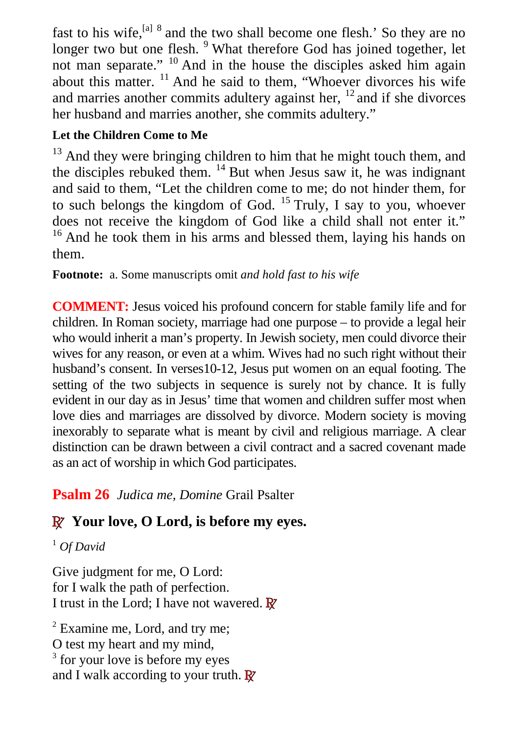fast to his wife, <sup>[a] 8</sup> and the two shall become one flesh.' So they are no longer two but one flesh. <sup>9</sup> What therefore God has joined together, let not man separate." <sup>10</sup> And in the house the disciples asked him again about this matter.  $^{11}$  And he said to them, "Whoever divorces his wife and marries another commits adultery against her, <sup>12</sup> and if she divorces her husband and marries another, she commits adultery."

### **Let the Children Come to Me**

<sup>13</sup> And they were bringing children to him that he might touch them, and the disciples rebuked them.  $^{14}$  But when Jesus saw it, he was indignant and said to them, "Let the children come to me; do not hinder them, for to such belongs the kingdom of God.  $^{15}$  Truly, I say to you, whoever does not receive the kingdom of God like a child shall not enter it." <sup>16</sup> And he took them in his arms and blessed them, laying his hands on them.

**Footnote:** a. Some manuscripts omit *and hold fast to his wife*

**COMMENT:** Jesus voiced his profound concern for stable family life and for children. In Roman society, marriage had one purpose – to provide a legal heir who would inherit a man's property. In Jewish society, men could divorce their wives for any reason, or even at a whim. Wives had no such right without their husband's consent. In verses 10-12, Jesus put women on an equal footing. The setting of the two subjects in sequence is surely not by chance. It is fully evident in our day as in Jesus' time that women and children suffer most when love dies and marriages are dissolved by divorce. Modern society is moving inexorably to separate what is meant by civil and religious marriage. A clear distinction can be drawn between a civil contract and a sacred covenant made as an act of worship in which God participates.

**Psalm 26** *Judica me, Domine* Grail Psalter

# **R Your love, O Lord, is before my eyes.**

<sup>1</sup> *Of David*

Give judgment for me, O Lord: for I walk the path of perfection. I trust in the Lord; I have not wavered. **R**

 $2$  Examine me, Lord, and try me; O test my heart and my mind, <sup>3</sup> for your love is before my eyes and I walk according to your truth. **R**